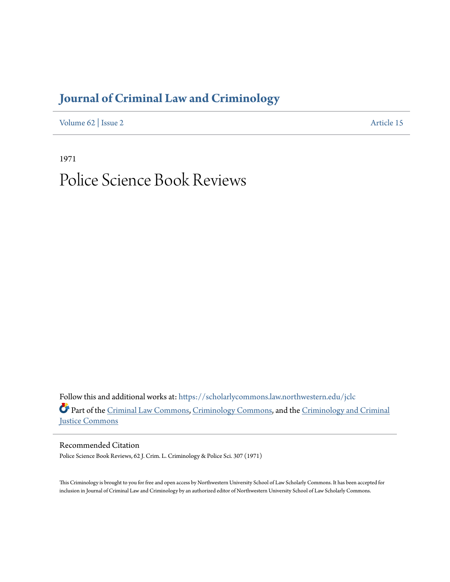## **[Journal of Criminal Law and Criminology](https://scholarlycommons.law.northwestern.edu/jclc?utm_source=scholarlycommons.law.northwestern.edu%2Fjclc%2Fvol62%2Fiss2%2F15&utm_medium=PDF&utm_campaign=PDFCoverPages)**

[Volume 62](https://scholarlycommons.law.northwestern.edu/jclc/vol62?utm_source=scholarlycommons.law.northwestern.edu%2Fjclc%2Fvol62%2Fiss2%2F15&utm_medium=PDF&utm_campaign=PDFCoverPages) | [Issue 2](https://scholarlycommons.law.northwestern.edu/jclc/vol62/iss2?utm_source=scholarlycommons.law.northwestern.edu%2Fjclc%2Fvol62%2Fiss2%2F15&utm_medium=PDF&utm_campaign=PDFCoverPages) [Article 15](https://scholarlycommons.law.northwestern.edu/jclc/vol62/iss2/15?utm_source=scholarlycommons.law.northwestern.edu%2Fjclc%2Fvol62%2Fiss2%2F15&utm_medium=PDF&utm_campaign=PDFCoverPages)

1971

# Police Science Book Reviews

Follow this and additional works at: [https://scholarlycommons.law.northwestern.edu/jclc](https://scholarlycommons.law.northwestern.edu/jclc?utm_source=scholarlycommons.law.northwestern.edu%2Fjclc%2Fvol62%2Fiss2%2F15&utm_medium=PDF&utm_campaign=PDFCoverPages) Part of the [Criminal Law Commons](http://network.bepress.com/hgg/discipline/912?utm_source=scholarlycommons.law.northwestern.edu%2Fjclc%2Fvol62%2Fiss2%2F15&utm_medium=PDF&utm_campaign=PDFCoverPages), [Criminology Commons](http://network.bepress.com/hgg/discipline/417?utm_source=scholarlycommons.law.northwestern.edu%2Fjclc%2Fvol62%2Fiss2%2F15&utm_medium=PDF&utm_campaign=PDFCoverPages), and the [Criminology and Criminal](http://network.bepress.com/hgg/discipline/367?utm_source=scholarlycommons.law.northwestern.edu%2Fjclc%2Fvol62%2Fiss2%2F15&utm_medium=PDF&utm_campaign=PDFCoverPages) [Justice Commons](http://network.bepress.com/hgg/discipline/367?utm_source=scholarlycommons.law.northwestern.edu%2Fjclc%2Fvol62%2Fiss2%2F15&utm_medium=PDF&utm_campaign=PDFCoverPages)

Recommended Citation

Police Science Book Reviews, 62 J. Crim. L. Criminology & Police Sci. 307 (1971)

This Criminology is brought to you for free and open access by Northwestern University School of Law Scholarly Commons. It has been accepted for inclusion in Journal of Criminal Law and Criminology by an authorized editor of Northwestern University School of Law Scholarly Commons.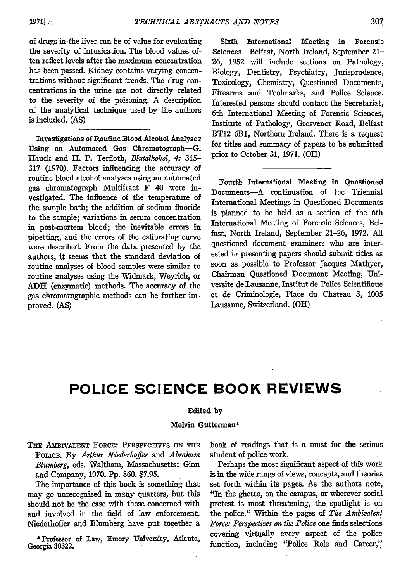307

of drugs in the liver can be of value for evaluating the severity of intoxication. The blood values often reflect levels after the maximum concentration has been passed. Kidney contains varying concentrations without significant trends. The drug concentrations in the urine are not directly related to the severity of the poisoning. A description of the analytical technique used by the authors is included. (AS)

Investigations of Routine Blood Alcohol Analyses Using an Automated Gas Chromatograph-G. Hauck and H. P. Terfloth, *Blutalkohol, 4:* 315- 317 (1970). Factors influencing the accuracy of routine blood alcohol analyses using an automated gas chromatograph Multifract F 40 were investigated. The influence of the temperature of the sample bath; the addition of sodium fluoride to the sample; variations in serum concentration in post-mortem blood; the inevitable errors in pipetting, and the errors of the calibrating curve were described. From the data presented by the authors, it seems that the standard deviation of routine analyses of blood samples were similar to routine analyses using the Widmark, Weyrich, or **ADH** (enzymatic) methods. The accuracy of the gas chromatographic methods can be further improved. (AS)

Sixth International Meeting in Forensic Sciences-Belfast, North Ireland, September 21- **26, 1952** will include sections on Pathology, Biology, Dentistry, Psychiatry, Jurisprudence, Toxicology, Chemistry, Questioned Documents, Firearms and Toolmarks, and Police Science. Interested persons should contact the Secretariat, 6th International Meeting of Forensic Sciences, Institute of Pathology, Grosvenor Road, Belfast BT12 **6B1,** Northern Ireland. There is a request for titles and summary of papers to be submitted prior to October **31, 1971.** (OH)

Fourth International Meeting in Questioned Documents-A continuation of the Triennial International Meetings in Questioned Documents is planned to be **held** as a section of the 6th International Meeting of Forensic Sciences, Belfast, North Ireland, September 21-26, **1972. All** questioned document examiners who are interested in presenting papers should submit titles as soon as possible to Professor Jacques Mathyer, Chairman Questioned Document Meeting, Universite de Lausanne, Institut de Police Scientifique et de Criminologie, Place du Chateau 3, 1005 Lausanne, Switzerland. (OH)

### **POLICE SCIENCE BOOK REVIEWS**

### Edited **by**

#### Melvin Gutterman\*

THE AMBIVALENT FORCE: PERSPECTIVES ON THE **POLICE. By** *Arthur Niederhoffer and Abraham Blumberg,* eds. Waltham, Massachusetts: Ginn and Company, **1970. Pp. 360.** \$7.95.

The importance of this book is something that may go unrecognized in many quarters, but this should not be the case with those concerned with and involved in the field of law enforcement. Niederhoffer and Blumberg have put together a

**\*** Professor of Law, Emory University, Atlanta, Georgia **30322.**

book of readings that is a must for the serious student of police work.

Perhaps the most significant aspect of this work is in the wide range of views, concepts, and theories set forth within its pages. As the authors note, "In the ghetto, on the campus, or wherever social protest is most threatening, the spotlight is on the police." Within the pages of *The Ambivalent Force: Perspectives on the Police* one finds selections covering virtually every aspect of the police function, including "Police Role and Career,"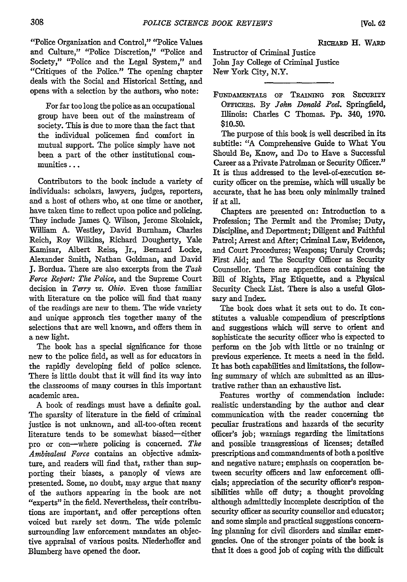"Police Organization and Control," "Police Values and Culture," "Police Discretion," "Police and Society," "Police and the Legal System," and "Critiques of the Police." The opening chapter deals with the Social and Historical Setting, and opens with a selection by the authors, who note:

For far too long the police as an occupational group have been out of the mainstream of society. This is due to more than the fact that the individual policemen find comfort in mutual support. The police simply have not been a part of the other institutional communities...

Contributors to the book include a variety of individuals: scholars, lawyers, judges, reporters, and a host of others who, at one time or another, have taken time to reflect upon police and policing. They include James Q. Wilson, Jerome Skolnick, William A. Westley, David Burnham, Charles Reich, Roy Wilkins, Richard Dougherty, Yale Kamisar, Albert Reiss, Jr., Bernard Locke, Alexander Smith, Nathan Goldman, and David J. Bordua. There are also excerpts from the *Task Force* Report: The *Police,* and the Supreme Court decision in *Terry vs. Ohio.* Even those familiar with literature on the police will find that many of the readings are new to them. The wide variety and unique approach ties together many of the selections that are well known, and offers them in a new light.

The book has a special significance for those new to the police field, as well as for educators in the rapidly developing field of police science. There is little doubt that it will find its way into the classrooms of many courses in this important academic area.

A book of readings must have a definite goal. The sparsity of literature in the field of criminal justice is not unknown, and all-too-often recent literature tends to be somewhat biased-either pro or con-where policing is concerned. *The Ambivalent Force* contains an objective admixture, and readers will find that, rather than supporting their biases, a panoply of views are presented. Some, no doubt, may argue that many of the authors appearing in the book are not "experts" in the field. Nevertheless, their contributions are important, and offer perceptions often voiced but rarely set down. The wide polemic surrounding law enforcement mandates an objective appraisal of various posits. Niederhoffer and Blumberg have opened the door.

RICHARD H. WARD Instructor of Criminal Justice John Jay College of Criminal Justice New York City, N.Y.

**FuNDAmENTALS oF TRAiniNG FOR** SEcURTY **OFFICERS.** By *John Donald Peel.* Springfield, Illinois: Charles C Thomas. **Pp.** 340, 1970. **\$10.50.**

The purpose of this book is well described in its subtitle: **"A** Comprehensive Guide to What You Should Be, Know, and Do to Have a Successful Career as a Private Patrolman or Security Officer." It is thus addressed to the level-of-execution security officer on the premise, which will usually be accurate, that he has been only minimally trained **if** at all.

Chapters are presented on: Introduction to a Profession; The Permit and the Promise; Duty, Discipline, and Deportment; Diligent and Faithful Patrol; Arrest and After; Criminal Law, Evidence, and Court Procedures; Weapons; Unruly Crowds; First Aid; and The Security Officer as Security Counsellor. There are appendices containing the Bill of Rights, Flag Etiquette, and a Physical Security Check List. There is also a useful Glossary and Index.

The book does what it sets out to do. It constitutes a valuable compendium of prescriptions and suggestions which will serve to orient and sophisticate the security officer who is expected to perform on the **job** with little or no training or previous experience. It meets a need in the field. It has both capabilities and limitations, the following summary of which are submitted as an illustrative rather than an exhaustive list.

Features worthy of commendation include: realistic understanding by the author and clear communication with the reader concerning the peculiar frustrations and hazards of the security officer's job; warnings regarding the limitations and possible transgressions of licenses; detailed prescriptions and commandments of both a positive and negative nature; emphasis on cooperation between security officers and law enforcement officials; appreciation of the security officer's responsibilities while off duty; a thought provoking although admittedly incomplete description of the security officer as security counsellor and educator; and some simple and practical suggestions concerning planning for civil disorders and similar emergencies. One of the stronger points of the book is that it does a good job of coping with the difficult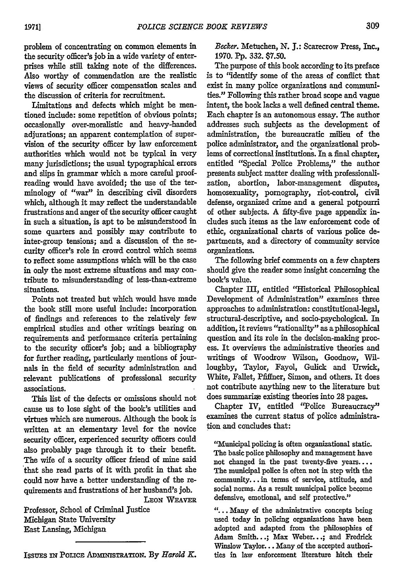problem of concentrating on common elements in the security officer's job in a wide variety of enterprises while still taking note of the differences. Also worthy of commendation **are** the realistic views of security officer compensation scales and the discussion of criteria for recruitment.

Limitations and defects which might be mentioned include: some repetition of obvious points; occasionally over-moralistic and heavy-handed adjurations; an apparent contemplation of supervision of the security officer **by** law enforcement authorities which would not be typical in very many jurisdictions; the usual typographical errors and slips in grammar which a more careful proofreading would have avoided; the use of the terminology of "war" in describing civil disorders which, although it may reflect the understandable frustrations and anger of the security officer caught in such a situation, is apt to be misunderstood in some quarters and possibly may contribute to inter-group tensions; and a discussion of the security officer's role in crowd control which seems to reflect some assumptions which will be the case in only the most extreme situations and may contribute to misunderstanding of less-than-extreme situations.

Points not treated but which would have made the book still more useful include: incorporation of findings and. references to the relatively few empirical studies and other writings bearing on requirements and performance criteria pertaining to the security officer's **job;** and a bibliography for further reading, particularly mentions of journals in the field of security administration and relevant publications of professional security associations.

This list of the defects or omissions should not cause us to lose sight of the book's utilities and virtues which are numerous. Although the book is written at an elementary level for the novice security officer, experienced security officers could also probably page through it to their benefit. The wife of a security officer friend of mine said that she read parts of it with profit in that she could now have a better understanding of the requirements and frustrations of her husband's job.

**LEON** WEAVER

Professor, School of Criminal Justice Michigan State University East Lansing, Michigan

ISSUES IN POLICE ADMINISTRATION. By *Harold K*.

*Becker.* Metuchen, N. **J.:** Scarecrow Press, **Inc.,** 1970. **Pp.** 332. \$7.50.

The purpose of this book according to its preface is to "identify some of the areas of conflict that exist in many police organizations and communities." Following this rather broad scope and vague intent, the book lacks a well defined central theme. Each chapter is an autonomous essay. The author addresses such subjects as the development of administration, the bureaucratic milieu of the police administrator, and the organizational problems of correctional institutions. In a final chapter, entitled "Special Police Problems," the author presents subject matter dealing with professionalization, abortion, labor-management disputes, homosexuality, pornography, riot-control, civil defense, organized crime and a general potpourri of other subjects. A fifty-five page appendix indudes such items as the law enforcement code of ethic, organizational charts of various police departments, and a directory of community service organizations.

The following brief comments on a few chapters should give the reader some insight concerning the book's value.

Chapter III, entitled "Historical Philosophical Development of Administration" examines three approaches to administration: constitutional-legal, structural-descriptive, and socio-psychological. In addition, it reviews "rationality" as a philosophical question and its role in the decision-making process. It overviews the administrative theories and writings of Woodrow Wilson, Goodnow, Willoughby, Taylor, Fayol, Gulick and Urwick, White, Fallet, Pfiffner, Simon, and others. It does not contribute anything new to the literature but does summarize existing theories into **28** pages.

Chapter IV, entitled 'Police Bureaucracy" examines the current status of police administration and concludes that:

"Municipal policing is often organizational static. The basic police philosophy and management have not changed in the past twenty-five years.... The municipal police is often not in step with the community... in terms of service, attitude, and social norms. As a result municipal police become defensive, emotional, and self protective."

**\*.** . Many of the administrative concepts being used today in policing organizations have been adopted and adapted from the philosophies of Adam Smith...; Max Weber...; and Fredrick Winslow Taylor... Many of the accepted authorities in law enforcement literature hitch their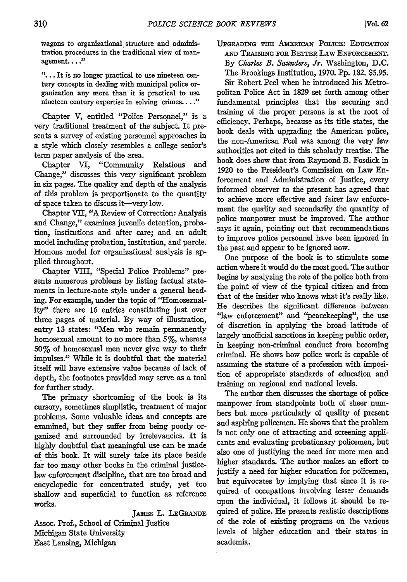wagons to organizational structure and administration procedures in the traditional view of management...."

**"...** It is no longer practical to use nineteen century concepts in dealing with municipal police organization any more than it is practical to use nineteen century expertise in solving crimes...."

Chapter V, entitled "Police Personnel," is a very traditional treatment of the subject. It presents a survey of existing personnel approaches in a style which closely resembles a college senior's term paper analysis of the area.

Chapter VI, "Community Relations and Change," discusses this very significant problem in six pages. The quality and depth of the analysis of this problem is proportionate to the quantity of space taken to discuss it-very low.

Chapter VII, **"A** Review of Correction: Analysis and Change," examines juvenile detention, probation, institutions and after care; and an adult model including probation, institution, and parole. Homons model for organizational analysis is applied throughout.

Chapter VIII, "Special Police Problems" presents numerous problems **by** listing factual statements in lecture-note style under a general heading. For example, under the topic of "Homosexuality" there are **16** entries constituting just over three pages of material. **By** way of illustration, entry **13** states: "Men who remain permanently homosexual amount to no more than 5%, whereas **50%** of homosexual men never give way to their impulses." While it is doubtful that the material itself will have extensive value because of lack of depth, the footnotes provided may serve as a tool for further study.

The primary shortcoming of the book is its cursory, sometimes simplistic, treatment of major problems. Some valuable ideas and concepts are examined, but they suffer from being poorly organized and surrounded **by** irrelevancies. It is **highly** doubtful that meaningful use can be made of this book. It will surely take its place beside far too many other books in the criminal justicelaw enforcement discipline, that are too broad and encyclopedic for concentrated study, yet too shallow and superficial to function as reference works.

JAMES L. LEGRANDE Assoc. Prof., School of Criminal Justice Michigan State University East Lansing, Michigan

**UPGRADING THE AMERICAN POLICE: EDUCATION AND** TRAINING *FOR* **BETTER** LAW ENFORCEMENT. By Charles *B. Saunders, Jr.* Washington, D.C. The Brookings Institution, 1970. Pp. 182. \$5.95. Sir Robert Peel when he introduced his Metro-

politan Police Act in 1829 set forth among other fundamental principles that the securing and training of the proper persons is at the root of efficiency. Perhaps, because as its title states, the book deals with upgrading the American police, the non-American Peel was among the very few authorities not cited in this scholarly treatise. The book does show that from Raymond B. Fosdick in 1920 to the President's Commission on Law Enforcement and Administration of Justice, every informed observer to the present has agreed that to achieve more effective and fairer law enforcement the quality and secondarily the quantity of police manpower must be improved. The author ,says it again, pointing out that recommendations to improve police personnel have been ignored in the past and appear to be ignored now.

One purpose of the book is to stimulate some action where it would do the most good. The author begins by analyzing the role of the police both from the point of view of the typical citizen and from that of the insider who knows what it's really like. He describes the significant difference between 'law enforcement" and "peacekeeping", the use of discretion in applying the broad latitude of largely unofficial sanctions in keeping public order, in keeping non-criminal conduct from becoming criminal. He shows how police work is capable of assuming the stature of a profession with imposition of appropriate standards of education and training on regional and national levels.

The author then discusses the shortage of police manpower from standpoints both of sheer numbers but more particularly of quality of present and aspiring policemen. He shows that the problem is not only one of attracting and screening applicants and evaluating probationary policemen, but also one of justifying the need for more men and higher standards. The author makes an effort to justify a need for higher education for policemen, but equivocates by implying that since it is required of occupations involving lesser demands upon the individual, it follows it should be required of police. He presents realistic descriptions of the role of existing programs on the various levels of higher education and their status in academia.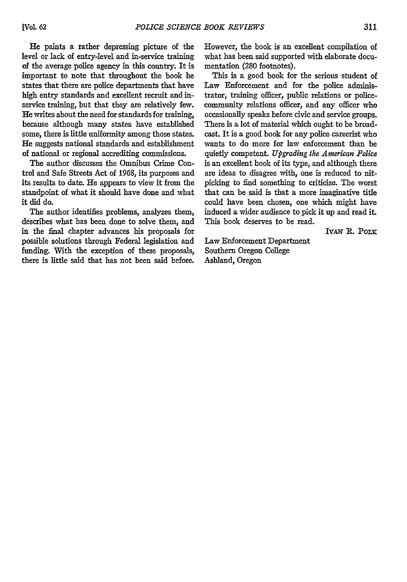He paints a rather depressing picture of the level or lack of entry-level and in-service training of the average police agency in this country. It is important to note that throughout the book he states that there are police departments that have high entry standards and excellent recruit and inservice training, but that they are relatively few. He writes about the need for standards for training, because although many states have established some, there is little uniformity among those states. He suggests national standards and establishment of national or regional accrediting commissions.

The author discusses the Omnibus Crime Control and Safe Streets Act of **1968,** its purposes and its results to date. He appears to view it from the standpoint of what it should have done and what it did do.

The author identifies problems, analyzes them, describes what has been done to solve them, and in the final chapter advances his proposals for possible solutions through Federal legislation and funding. With the exception of these proposals, there is little said that has not been said before.

However, the book is an excellent compilation of what has been said supported with elaborate documentation **(280** footnotes).

This is a good book for the serious student of Law Enforcement and for the police administrator, training officer, public relations or policecommunity relations officer, and any officer who occasionally speaks before civic and service groups. There is a lot of material which ought to be broadcast. It is a good book for any police careerist who wants to do more for law enforcement than be quietly competent. *Upgrading the American Police* is an excellent book of its type, and although there are ideas to disagree with, one is reduced to nitpicking to find something to criticize. The worst that can be said is that a more imaginative title could have been chosen, one which might have induced a wider audience to pick it up and read it. This book deserves to be read.

IVAN R. POLK

Law Enforcement Department Southern Oregon College Ashland, Oregon